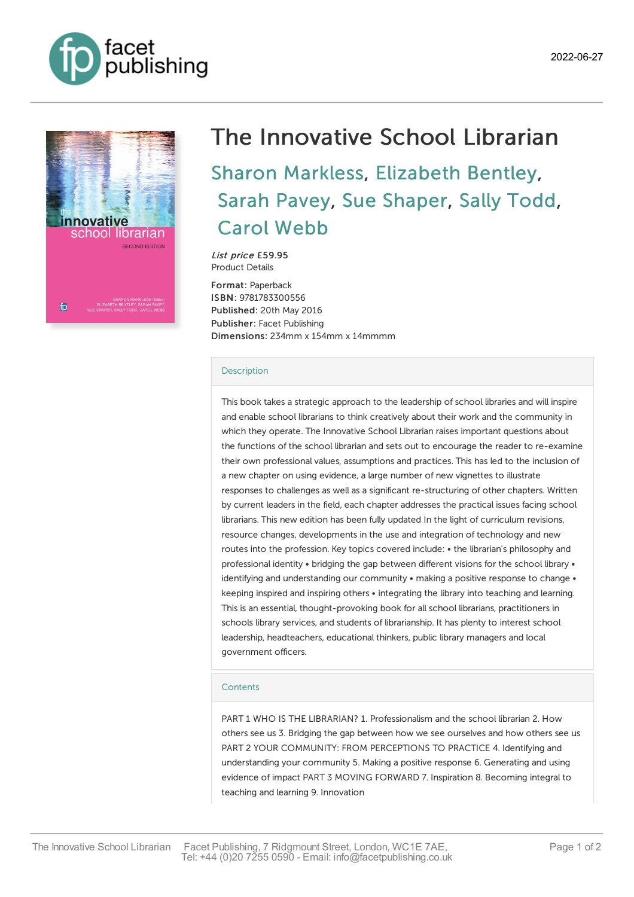



## The Innovative School Librarian Sharon [Markless](https://www.facetpublishing.co.uk/page/author-detail/?SF1=contributor&ST1=Sharon%20Markless), [Elizabeth](https://www.facetpublishing.co.uk/page/author-detail/?SF1=contributor&ST1=Elizabeth%20Bentley) Bentley, Sarah [Pavey](https://www.facetpublishing.co.uk/page/author-detail/?SF1=contributor&ST1=Sarah%20Pavey), Sue [Shaper](https://www.facetpublishing.co.uk/page/author-detail/?SF1=contributor&ST1=Sue%20Shaper), Sally [Todd](https://www.facetpublishing.co.uk/page/author-detail/?SF1=contributor&ST1=Sally%20Todd), Carol [Webb](https://www.facetpublishing.co.uk/page/author-detail/?SF1=contributor&ST1=Carol%20Webb)

List price £59.95 Product Details

Format: Paperback ISBN: 9781783300556 Published: 20th May 2016 Publisher: Facet Publishing Dimensions: 234mm x 154mm x 14mmmm

## [Description](javascript:void(0);)

This book takes a strategic approach to the leadership of school libraries and will inspire and enable school librarians to think creatively about their work and the community in which they operate. The Innovative School Librarian raises important questions about the functions of the school librarian and sets out to encourage the reader to re-examine their own professional values, assumptions and practices. This has led to the inclusion of a new chapter on using evidence, a large number of new vignettes to illustrate responses to challenges as well as a significant re-structuring of other chapters. Written by current leaders in the field, each chapter addresses the practical issues facing school librarians. This new edition has been fully updated In the light of curriculum revisions, resource changes, developments in the use and integration of technology and new routes into the profession. Key topics covered include: • the librarian's philosophy and professional identity • bridging the gap between different visions for the school library • identifying and understanding our community • making a positive response to change • keeping inspired and inspiring others • integrating the library into teaching and learning. This is an essential, thought-provoking book for all school librarians, practitioners in schools library services, and students of librarianship. It has plenty to interest school leadership, headteachers, educational thinkers, public library managers and local government officers.

## **[Contents](javascript:void(0);)**

PART 1 WHO IS THE LIBRARIAN? 1. Professionalism and the school librarian 2. How others see us 3. Bridging the gap between how we see ourselves and how others see us PART 2 YOUR COMMUNITY: FROM PERCEPTIONS TO PRACTICE 4. Identifying and understanding your community 5. Making a positive response 6. Generating and using evidence of impact PART 3 MOVING FORWARD 7. Inspiration 8. Becoming integral to teaching and learning 9. Innovation